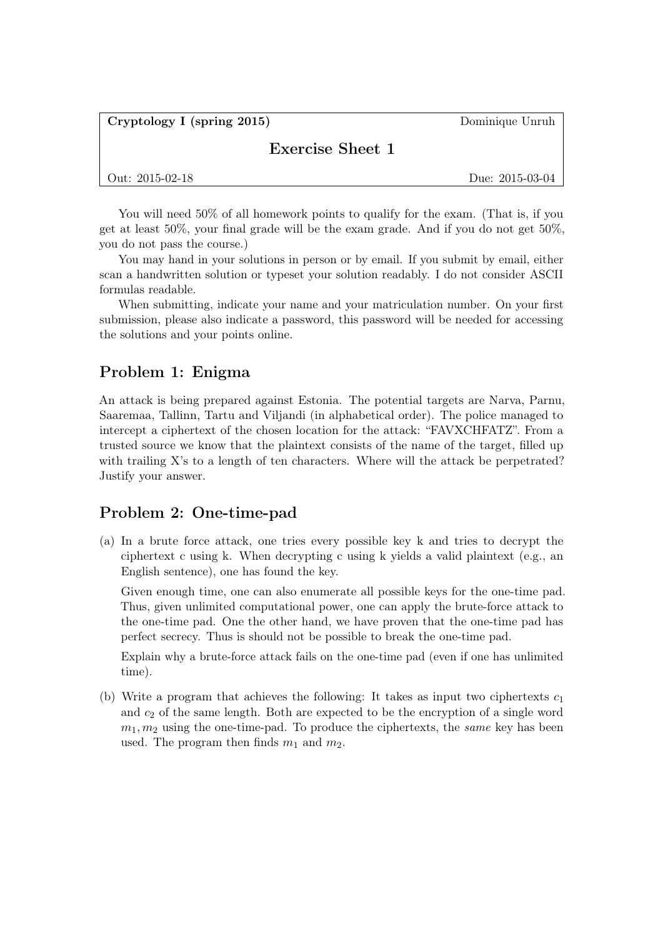<span id="page-0-1"></span>Cryptology I (spring 2015) Dominique Unruh

## Exercise Sheet 1

|  | Out: $2015-02-18$ |
|--|-------------------|
|--|-------------------|

Due: 2015-03-04

You will need  $50\%$  of all homework points to qualify for the exam. (That is, if you get at least 50%, your final grade will be the exam grade. And if you do not get 50%, you do not pass the course.)

You may hand in your solutions in person or by email. If you submit by email, either scan a handwritten solution or typeset your solution readably. I do not consider ASCII formulas readable.

When submitting, indicate your name and your matriculation number. On your first submission, please also indicate a password, this password will be needed for accessing the solutions and your points online.

## Problem 1: Enigma

An attack is being prepared against Estonia. The potential targets are Narva, Parnu, Saaremaa, Tallinn, Tartu and Viljandi (in alphabetical order). The police managed to intercept a ciphertext of the chosen location for the attack: "FAVXCHFATZ". From a trusted source we know that the plaintext consists of the name of the target, filled up with trailing X's to a length of ten characters. Where will the attack be perpetrated? Justify your answer.

## Problem 2: One-time-pad

(a) In a brute force attack, one tries every possible key k and tries to decrypt the ciphertext c using k. When decrypting c using k yields a valid plaintext (e.g., an English sentence), one has found the key.

Given enough time, one can also enumerate all possible keys for the one-time pad. Thus, given unlimited computational power, one can apply the brute-force attack to the one-time pad. One the other hand, we have proven that the one-time pad has perfect secrecy. Thus is should not be possible to break the one-time pad.

Explain why a brute-force attack fails on the one-time pad (even if one has unlimited time).

<span id="page-0-0"></span>(b) Write a program that achieves the following: It takes as input two ciphertexts  $c_1$ and  $c_2$  of the same length. Both are expected to be the encryption of a single word  $m_1, m_2$  using the one-time-pad. To produce the ciphertexts, the *same* key has been used. The program then finds  $m_1$  and  $m_2$ .